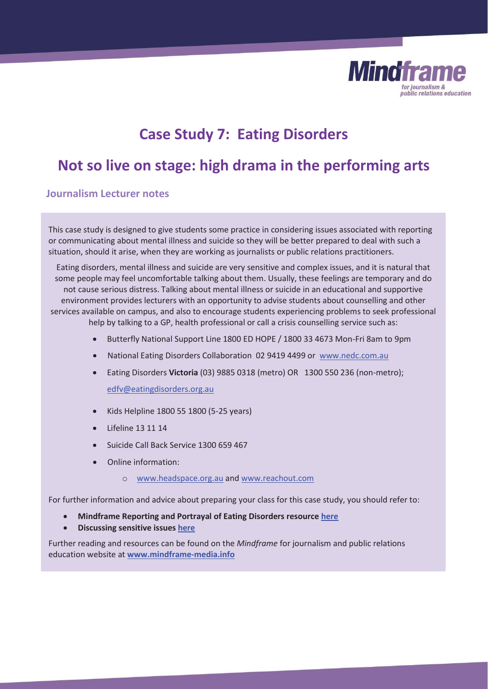

# **Case Study 7: Eating Disorders**

## **Not so live on stage: high drama in the performing arts**

## **Journalism Lecturer notes**

This case study is designed to give students some practice in considering issues associated with reporting or communicating about mental illness and suicide so they will be better prepared to deal with such a situation, should it arise, when they are working as journalists or public relations practitioners.

Eating disorders, mental illness and suicide are very sensitive and complex issues, and it is natural that some people may feel uncomfortable talking about them. Usually, these feelings are temporary and do not cause serious distress. Talking about mental illness or suicide in an educational and supportive environment provides lecturers with an opportunity to advise students about counselling and other services available on campus, and also to encourage students experiencing problems to seek professional help by talking to a GP, health professional or call a crisis counselling service such as:

- Butterfly National Support Line 1800 ED HOPE / 1800 33 4673 Mon-Fri 8am to 9pm
- National Eating Disorders Collaboration 02 9419 4499 or www.nedc.com.au
- x Eating Disorders **Victoria** (03) 9885 0318 (metro) OR 1300 550 236 (non-metro); edfv@eatingdisorders.org.au
- x Kids Helpline 1800 55 1800 (5-25 years)
- x Lifeline 13 11 14
- Suicide Call Back Service 1300 659 467
- Online information:
	- o www.headspace.org.au and www.reachout.com

For further information and advice about preparing your class for this case study, you should refer to:

- x **Mindframe Reporting and Portrayal of Eating Disorders resource here**
- x **Discussing sensitive issues here**

Further reading and resources can be found on the *Mindframe* for journalism and public relations education website at **www.mindframe-media.info**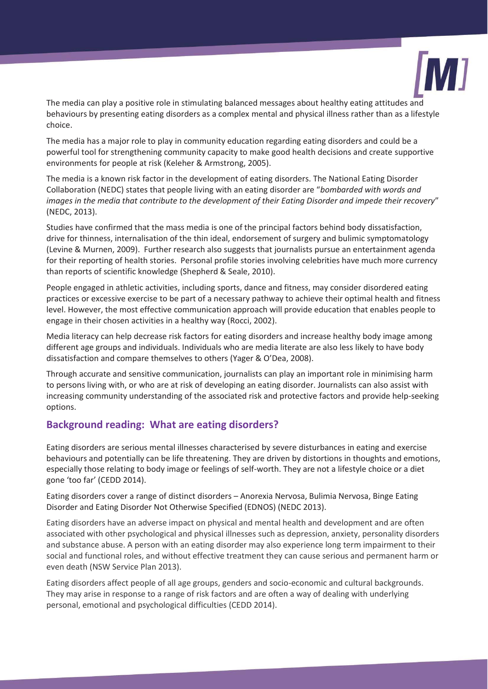

The media can play a positive role in stimulating balanced messages about healthy eating attitudes and behaviours by presenting eating disorders as a complex mental and physical illness rather than as a lifestyle choice.

The media has a major role to play in community education regarding eating disorders and could be a powerful tool for strengthening community capacity to make good health decisions and create supportive environments for people at risk (Keleher & Armstrong, 2005).

The media is a known risk factor in the development of eating disorders. The National Eating Disorder Collaboration (NEDC) states that people living with an eating disorder are "*bombarded with words and images in the media that contribute to the development of their Eating Disorder and impede their recovery*" (NEDC, 2013).

Studies have confirmed that the mass media is one of the principal factors behind body dissatisfaction, drive for thinness, internalisation of the thin ideal, endorsement of surgery and bulimic symptomatology (Levine & Murnen, 2009). Further research also suggests that journalists pursue an entertainment agenda for their reporting of health stories. Personal profile stories involving celebrities have much more currency than reports of scientific knowledge (Shepherd & Seale, 2010).

People engaged in athletic activities, including sports, dance and fitness, may consider disordered eating practices or excessive exercise to be part of a necessary pathway to achieve their optimal health and fitness level. However, the most effective communication approach will provide education that enables people to engage in their chosen activities in a healthy way (Rocci, 2002).

Media literacy can help decrease risk factors for eating disorders and increase healthy body image among different age groups and individuals. Individuals who are media literate are also less likely to have body dissatisfaction and compare themselves to others (Yager & O'Dea, 2008).

Through accurate and sensitive communication, journalists can play an important role in minimising harm to persons living with, or who are at risk of developing an eating disorder. Journalists can also assist with increasing community understanding of the associated risk and protective factors and provide help-seeking options.

## **Background reading: What are eating disorders?**

Eating disorders are serious mental illnesses characterised by severe disturbances in eating and exercise behaviours and potentially can be life threatening. They are driven by distortions in thoughts and emotions, especially those relating to body image or feelings of self-worth. They are not a lifestyle choice or a diet gone 'too far' (CEDD 2014).

Eating disorders cover a range of distinct disorders – Anorexia Nervosa, Bulimia Nervosa, Binge Eating Disorder and Eating Disorder Not Otherwise Specified (EDNOS) (NEDC 2013).

Eating disorders have an adverse impact on physical and mental health and development and are often associated with other psychological and physical illnesses such as depression, anxiety, personality disorders and substance abuse. A person with an eating disorder may also experience long term impairment to their social and functional roles, and without effective treatment they can cause serious and permanent harm or even death (NSW Service Plan 2013).

Eating disorders affect people of all age groups, genders and socio-economic and cultural backgrounds. They may arise in response to a range of risk factors and are often a way of dealing with underlying personal, emotional and psychological difficulties (CEDD 2014).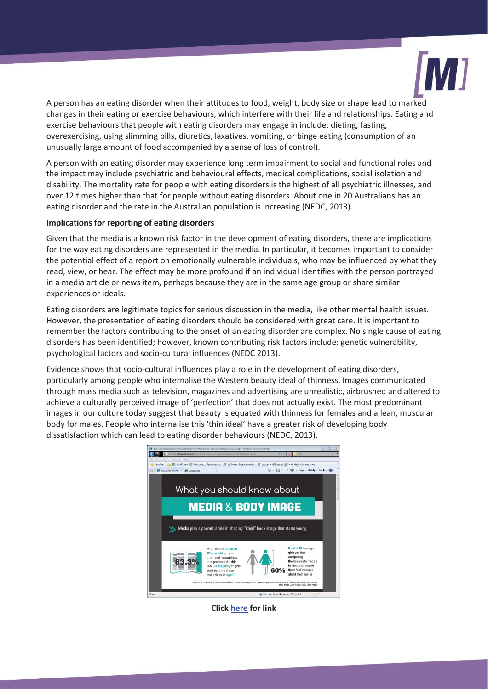

A person has an eating disorder when their attitudes to food, weight, body size or shape lead to marked changes in their eating or exercise behaviours, which interfere with their life and relationships. Eating and exercise behaviours that people with eating disorders may engage in include: dieting, fasting, overexercising, using slimming pills, diuretics, laxatives, vomiting, or binge eating (consumption of an unusually large amount of food accompanied by a sense of loss of control).

A person with an eating disorder may experience long term impairment to social and functional roles and the impact may include psychiatric and behavioural effects, medical complications, social isolation and disability. The mortality rate for people with eating disorders is the highest of all psychiatric illnesses, and over 12 times higher than that for people without eating disorders. About one in 20 Australians has an eating disorder and the rate in the Australian population is increasing (NEDC, 2013).

#### **Implications for reporting of eating disorders**

Given that the media is a known risk factor in the development of eating disorders, there are implications for the way eating disorders are represented in the media. In particular, it becomes important to consider the potential effect of a report on emotionally vulnerable individuals, who may be influenced by what they read, view, or hear. The effect may be more profound if an individual identifies with the person portrayed in a media article or news item, perhaps because they are in the same age group or share similar experiences or ideals.

Eating disorders are legitimate topics for serious discussion in the media, like other mental health issues. However, the presentation of eating disorders should be considered with great care. It is important to remember the factors contributing to the onset of an eating disorder are complex. No single cause of eating disorders has been identified; however, known contributing risk factors include: genetic vulnerability, psychological factors and socio-cultural influences (NEDC 2013).

Evidence shows that socio-cultural influences play a role in the development of eating disorders, particularly among people who internalise the Western beauty ideal of thinness. Images communicated through mass media such as television, magazines and advertising are unrealistic, airbrushed and altered to achieve a culturally perceived image of 'perfection' that does not actually exist. The most predominant images in our culture today suggest that beauty is equated with thinness for females and a lean, muscular body for males. People who internalise this 'thin ideal' have a greater risk of developing body dissatisfaction which can lead to eating disorder behaviours (NEDC, 2013).



**Click here for link**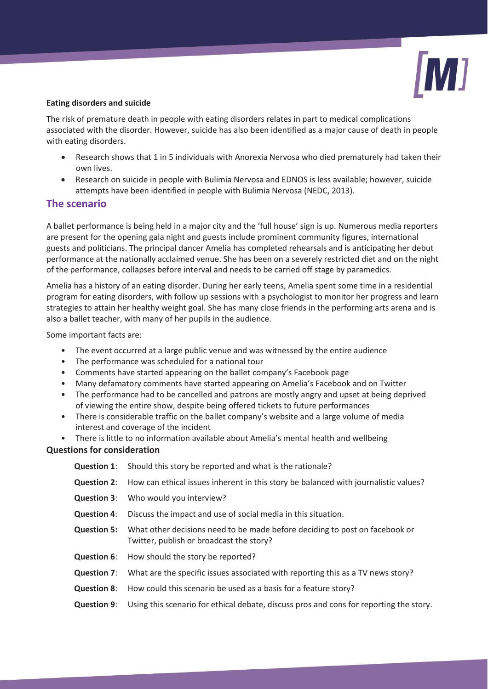

#### **Eating disorders and suicide**

The risk of premature death in people with eating disorders relates in part to medical complications associated with the disorder. However, suicide has also been identified as a major cause of death in people with eating disorders.

- Research shows that 1 in 5 individuals with Anorexia Nervosa who died prematurely had taken their own lives.
- x Research on suicide in people with Bulimia Nervosa and EDNOS is less available; however, suicide attempts have been identified in people with Bulimia Nervosa (NEDC, 2013).

## **The scenario**

A ballet performance is being held in a major city and the 'full house' sign is up. Numerous media reporters are present for the opening gala night and guests include prominent community figures, international guests and politicians. The principal dancer Amelia has completed rehearsals and is anticipating her debut performance at the nationally acclaimed venue. She has been on a severely restricted diet and on the night of the performance, collapses before interval and needs to be carried off stage by paramedics.

Amelia has a history of an eating disorder. During her early teens, Amelia spent some time in a residential program for eating disorders, with follow up sessions with a psychologist to monitor her progress and learn strategies to attain her healthy weight goal. She has many close friends in the performing arts arena and is also a ballet teacher, with many of her pupils in the audience.

Some important facts are:

- The event occurred at a large public venue and was witnessed by the entire audience
- The performance was scheduled for a national tour
- Comments have started appearing on the ballet company's Facebook page
- Many defamatory comments have started appearing on Amelia's Facebook and on Twitter
- The performance had to be cancelled and patrons are mostly angry and upset at being deprived of viewing the entire show, despite being offered tickets to future performances
- There is considerable traffic on the ballet company's website and a large volume of media interest and coverage of the incident
- There is little to no information available about Amelia's mental health and wellbeing

## **Questions for consideration**

|                    | <b>Question 1:</b> Should this story be reported and what is the rationale?                                                                |
|--------------------|--------------------------------------------------------------------------------------------------------------------------------------------|
|                    | <b>Question 2:</b> How can ethical issues inherent in this story be balanced with journalistic values?                                     |
|                    | <b>Question 3:</b> Who would you interview?                                                                                                |
| <b>Question 4:</b> | Discuss the impact and use of social media in this situation.                                                                              |
|                    | <b>Question 5:</b> What other decisions need to be made before deciding to post on facebook or<br>Twitter, publish or broadcast the story? |
|                    | <b>Question 6:</b> How should the story be reported?                                                                                       |
|                    | <b>Question 7:</b> What are the specific issues associated with reporting this as a TV news story?                                         |
| <b>Question 8:</b> | How could this scenario be used as a basis for a feature story?                                                                            |
|                    | <b>Question 9:</b> Using this scenario for ethical debate, discuss pros and cons for reporting the story.                                  |
|                    |                                                                                                                                            |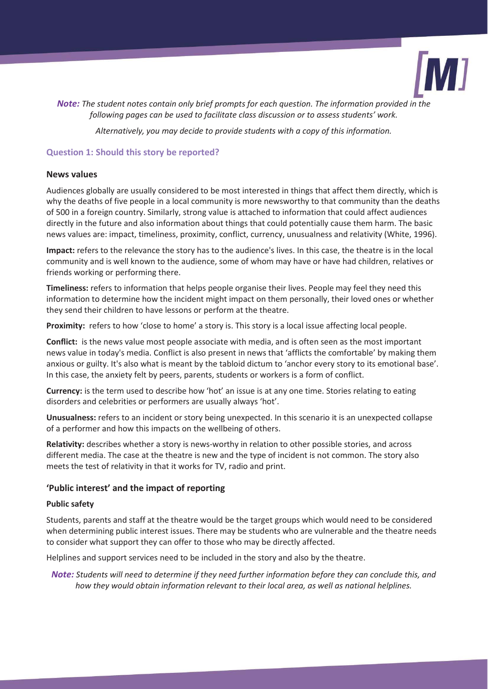

*Note: The student notes contain only brief prompts for each question. The information provided in the following pages can be used to facilitate class discussion or to assess students' work.* 

*Alternatively, you may decide to provide students with a copy of this information.* 

### **Question 1: Should this story be reported?**

#### **News values**

Audiences globally are usually considered to be most interested in things that affect them directly, which is why the deaths of five people in a local community is more newsworthy to that community than the deaths of 500 in a foreign country. Similarly, strong value is attached to information that could affect audiences directly in the future and also information about things that could potentially cause them harm. The basic news values are: impact, timeliness, proximity, conflict, currency, unusualness and relativity (White, 1996).

**Impact:** refers to the relevance the story has to the audience's lives. In this case, the theatre is in the local community and is well known to the audience, some of whom may have or have had children, relatives or friends working or performing there.

**Timeliness:** refers to information that helps people organise their lives. People may feel they need this information to determine how the incident might impact on them personally, their loved ones or whether they send their children to have lessons or perform at the theatre.

**Proximity:** refers to how 'close to home' a story is. This story is a local issue affecting local people.

**Conflict:** is the news value most people associate with media, and is often seen as the most important news value in today's media. Conflict is also present in news that 'afflicts the comfortable' by making them anxious or guilty. It's also what is meant by the tabloid dictum to 'anchor every story to its emotional base'. In this case, the anxiety felt by peers, parents, students or workers is a form of conflict.

**Currency:** is the term used to describe how 'hot' an issue is at any one time. Stories relating to eating disorders and celebrities or performers are usually always 'hot'.

**Unusualness:** refers to an incident or story being unexpected. In this scenario it is an unexpected collapse of a performer and how this impacts on the wellbeing of others.

**Relativity:** describes whether a story is news-worthy in relation to other possible stories, and across different media. The case at the theatre is new and the type of incident is not common. The story also meets the test of relativity in that it works for TV, radio and print.

#### **'Public interest' and the impact of reporting**

#### **Public safety**

Students, parents and staff at the theatre would be the target groups which would need to be considered when determining public interest issues. There may be students who are vulnerable and the theatre needs to consider what support they can offer to those who may be directly affected.

Helplines and support services need to be included in the story and also by the theatre.

*Note: Students will need to determine if they need further information before they can conclude this, and how they would obtain information relevant to their local area, as well as national helplines.*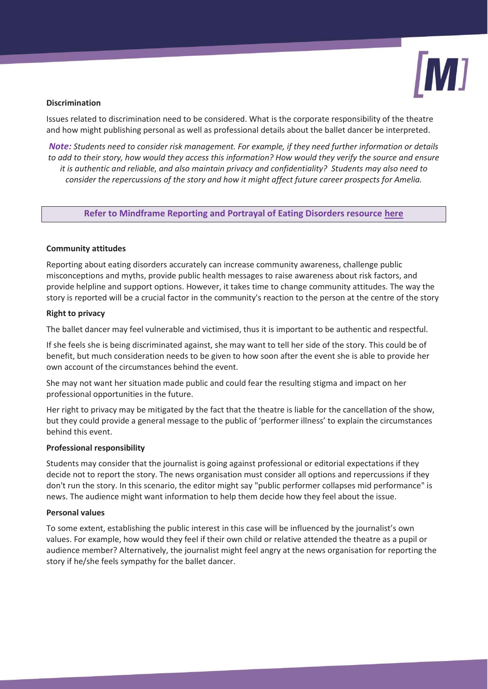

#### **Discrimination**

Issues related to discrimination need to be considered. What is the corporate responsibility of the theatre and how might publishing personal as well as professional details about the ballet dancer be interpreted.

*Note: Students need to consider risk management. For example, if they need further information or details to add to their story, how would they access this information? How would they verify the source and ensure it is authentic and reliable, and also maintain privacy and confidentiality? Students may also need to consider the repercussions of the story and how it might affect future career prospects for Amelia.* 

**Refer to Mindframe Reporting and Portrayal of Eating Disorders resource here** 

#### **Community attitudes**

Reporting about eating disorders accurately can increase community awareness, challenge public misconceptions and myths, provide public health messages to raise awareness about risk factors, and provide helpline and support options. However, it takes time to change community attitudes. The way the story is reported will be a crucial factor in the community's reaction to the person at the centre of the story

#### **Right to privacy**

The ballet dancer may feel vulnerable and victimised, thus it is important to be authentic and respectful.

If she feels she is being discriminated against, she may want to tell her side of the story. This could be of benefit, but much consideration needs to be given to how soon after the event she is able to provide her own account of the circumstances behind the event.

She may not want her situation made public and could fear the resulting stigma and impact on her professional opportunities in the future.

Her right to privacy may be mitigated by the fact that the theatre is liable for the cancellation of the show, but they could provide a general message to the public of 'performer illness' to explain the circumstances behind this event.

#### **Professional responsibility**

Students may consider that the journalist is going against professional or editorial expectations if they decide not to report the story. The news organisation must consider all options and repercussions if they don't run the story. In this scenario, the editor might say "public performer collapses mid performance" is news. The audience might want information to help them decide how they feel about the issue.

#### **Personal values**

To some extent, establishing the public interest in this case will be influenced by the journalist's own values. For example, how would they feel if their own child or relative attended the theatre as a pupil or audience member? Alternatively, the journalist might feel angry at the news organisation for reporting the story if he/she feels sympathy for the ballet dancer.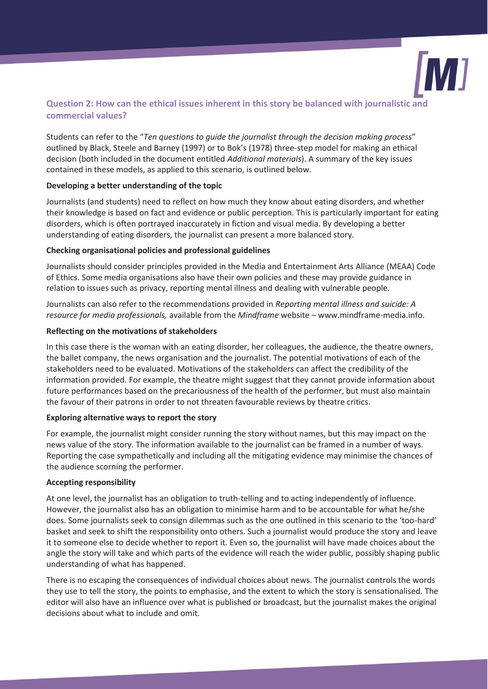

## **Question 2: How can the ethical issues inherent in this story be balanced with journalistic and commercial values?**

Students can refer to the "*Ten questions to guide the journalist through the decision making process*" outlined by Black, Steele and Barney (1997) or to Bok's (1978) three-step model for making an ethical decision (both included in the document entitled *Additional materials*). A summary of the key issues contained in these models, as applied to this scenario, is outlined below.

#### **Developing a better understanding of the topic**

Journalists (and students) need to reflect on how much they know about eating disorders, and whether their knowledge is based on fact and evidence or public perception. This is particularly important for eating disorders, which is often portrayed inaccurately in fiction and visual media. By developing a better understanding of eating disorders, the journalist can present a more balanced story.

#### **Checking organisational policies and professional guidelines**

Journalists should consider principles provided in the Media and Entertainment Arts Alliance (MEAA) Code of Ethics. Some media organisations also have their own policies and these may provide guidance in relation to issues such as privacy, reporting mental illness and dealing with vulnerable people.

Journalists can also refer to the recommendations provided in *Reporting mental illness and suicide: A resource for media professionals,* available from the *Mindframe* website – www.mindframe-media.info.

#### **Reflecting on the motivations of stakeholders**

In this case there is the woman with an eating disorder, her colleagues, the audience, the theatre owners, the ballet company, the news organisation and the journalist. The potential motivations of each of the stakeholders need to be evaluated. Motivations of the stakeholders can affect the credibility of the information provided. For example, the theatre might suggest that they cannot provide information about future performances based on the precariousness of the health of the performer, but must also maintain the favour of their patrons in order to not threaten favourable reviews by theatre critics.

## **Exploring alternative ways to report the story**

For example, the journalist might consider running the story without names, but this may impact on the news value of the story. The information available to the journalist can be framed in a number of ways. Reporting the case sympathetically and including all the mitigating evidence may minimise the chances of the audience scorning the performer.

## **Accepting responsibility**

At one level, the journalist has an obligation to truth-telling and to acting independently of influence. However, the journalist also has an obligation to minimise harm and to be accountable for what he/she does. Some journalists seek to consign dilemmas such as the one outlined in this scenario to the 'too-hard' basket and seek to shift the responsibility onto others. Such a journalist would produce the story and leave it to someone else to decide whether to report it. Even so, the journalist will have made choices about the angle the story will take and which parts of the evidence will reach the wider public, possibly shaping public understanding of what has happened.

There is no escaping the consequences of individual choices about news. The journalist controls the words they use to tell the story, the points to emphasise, and the extent to which the story is sensationalised. The editor will also have an influence over what is published or broadcast, but the journalist makes the original decisions about what to include and omit.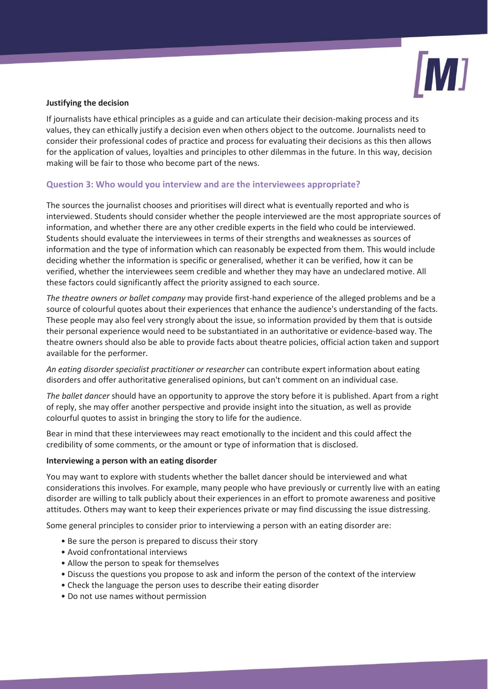

#### **Justifying the decision**

If journalists have ethical principles as a guide and can articulate their decision-making process and its values, they can ethically justify a decision even when others object to the outcome. Journalists need to consider their professional codes of practice and process for evaluating their decisions as this then allows for the application of values, loyalties and principles to other dilemmas in the future. In this way, decision making will be fair to those who become part of the news.

#### **Question 3: Who would you interview and are the interviewees appropriate?**

The sources the journalist chooses and prioritises will direct what is eventually reported and who is interviewed. Students should consider whether the people interviewed are the most appropriate sources of information, and whether there are any other credible experts in the field who could be interviewed. Students should evaluate the interviewees in terms of their strengths and weaknesses as sources of information and the type of information which can reasonably be expected from them. This would include deciding whether the information is specific or generalised, whether it can be verified, how it can be verified, whether the interviewees seem credible and whether they may have an undeclared motive. All these factors could significantly affect the priority assigned to each source.

*The theatre owners or ballet company* may provide first-hand experience of the alleged problems and be a source of colourful quotes about their experiences that enhance the audience's understanding of the facts. These people may also feel very strongly about the issue, so information provided by them that is outside their personal experience would need to be substantiated in an authoritative or evidence-based way. The theatre owners should also be able to provide facts about theatre policies, official action taken and support available for the performer.

*An eating disorder specialist practitioner or researcher* can contribute expert information about eating disorders and offer authoritative generalised opinions, but can't comment on an individual case.

*The ballet dancer* should have an opportunity to approve the story before it is published. Apart from a right of reply, she may offer another perspective and provide insight into the situation, as well as provide colourful quotes to assist in bringing the story to life for the audience.

Bear in mind that these interviewees may react emotionally to the incident and this could affect the credibility of some comments, or the amount or type of information that is disclosed.

#### **Interviewing a person with an eating disorder**

You may want to explore with students whether the ballet dancer should be interviewed and what considerations this involves. For example, many people who have previously or currently live with an eating disorder are willing to talk publicly about their experiences in an effort to promote awareness and positive attitudes. Others may want to keep their experiences private or may find discussing the issue distressing.

Some general principles to consider prior to interviewing a person with an eating disorder are:

- Be sure the person is prepared to discuss their story
- Avoid confrontational interviews
- Allow the person to speak for themselves
- Discuss the questions you propose to ask and inform the person of the context of the interview
- Check the language the person uses to describe their eating disorder
- Do not use names without permission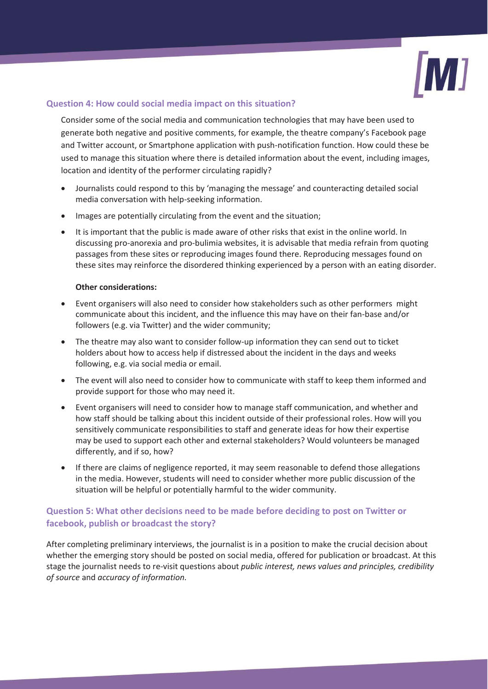

## **Question 4: How could social media impact on this situation?**

Consider some of the social media and communication technologies that may have been used to generate both negative and positive comments, for example, the theatre company's Facebook page and Twitter account, or Smartphone application with push-notification function. How could these be used to manage this situation where there is detailed information about the event, including images, location and identity of the performer circulating rapidly?

- Journalists could respond to this by 'managing the message' and counteracting detailed social media conversation with help-seeking information.
- Images are potentially circulating from the event and the situation;
- It is important that the public is made aware of other risks that exist in the online world. In discussing pro-anorexia and pro-bulimia websites, it is advisable that media refrain from quoting passages from these sites or reproducing images found there. Reproducing messages found on these sites may reinforce the disordered thinking experienced by a person with an eating disorder.

#### **Other considerations:**

- Event organisers will also need to consider how stakeholders such as other performers might communicate about this incident, and the influence this may have on their fan-base and/or followers (e.g. via Twitter) and the wider community;
- x The theatre may also want to consider follow-up information they can send out to ticket holders about how to access help if distressed about the incident in the days and weeks following, e.g. via social media or email.
- The event will also need to consider how to communicate with staff to keep them informed and provide support for those who may need it.
- Event organisers will need to consider how to manage staff communication, and whether and how staff should be talking about this incident outside of their professional roles. How will you sensitively communicate responsibilities to staff and generate ideas for how their expertise may be used to support each other and external stakeholders? Would volunteers be managed differently, and if so, how?
- If there are claims of negligence reported, it may seem reasonable to defend those allegations in the media. However, students will need to consider whether more public discussion of the situation will be helpful or potentially harmful to the wider community.

## **Question 5: What other decisions need to be made before deciding to post on Twitter or facebook, publish or broadcast the story?**

After completing preliminary interviews, the journalist is in a position to make the crucial decision about whether the emerging story should be posted on social media, offered for publication or broadcast. At this stage the journalist needs to re-visit questions about *public interest, news values and principles, credibility of source* and *accuracy of information.*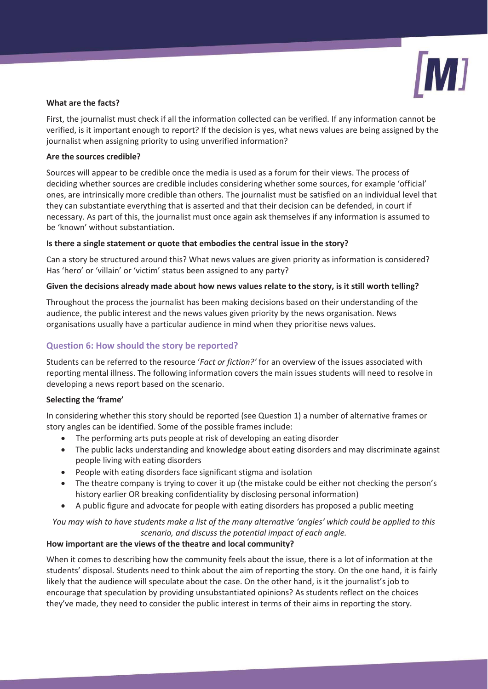

#### **What are the facts?**

First, the journalist must check if all the information collected can be verified. If any information cannot be verified, is it important enough to report? If the decision is yes, what news values are being assigned by the journalist when assigning priority to using unverified information?

#### **Are the sources credible?**

Sources will appear to be credible once the media is used as a forum for their views. The process of deciding whether sources are credible includes considering whether some sources, for example 'official' ones, are intrinsically more credible than others. The journalist must be satisfied on an individual level that they can substantiate everything that is asserted and that their decision can be defended, in court if necessary. As part of this, the journalist must once again ask themselves if any information is assumed to be 'known' without substantiation.

#### **Is there a single statement or quote that embodies the central issue in the story?**

Can a story be structured around this? What news values are given priority as information is considered? Has 'hero' or 'villain' or 'victim' status been assigned to any party?

#### **Given the decisions already made about how news values relate to the story, is it still worth telling?**

Throughout the process the journalist has been making decisions based on their understanding of the audience, the public interest and the news values given priority by the news organisation. News organisations usually have a particular audience in mind when they prioritise news values.

## **Question 6: How should the story be reported?**

Students can be referred to the resource '*Fact or fiction?'* for an overview of the issues associated with reporting mental illness. The following information covers the main issues students will need to resolve in developing a news report based on the scenario.

#### **Selecting the 'frame'**

In considering whether this story should be reported (see Question 1) a number of alternative frames or story angles can be identified. Some of the possible frames include:

- The performing arts puts people at risk of developing an eating disorder
- The public lacks understanding and knowledge about eating disorders and may discriminate against people living with eating disorders
- People with eating disorders face significant stigma and isolation
- The theatre company is trying to cover it up (the mistake could be either not checking the person's history earlier OR breaking confidentiality by disclosing personal information)
- A public figure and advocate for people with eating disorders has proposed a public meeting

## *You may wish to have students make a list of the many alternative 'angles' which could be applied to this scenario, and discuss the potential impact of each angle.*

## **How important are the views of the theatre and local community?**

When it comes to describing how the community feels about the issue, there is a lot of information at the students' disposal. Students need to think about the aim of reporting the story. On the one hand, it is fairly likely that the audience will speculate about the case. On the other hand, is it the journalist's job to encourage that speculation by providing unsubstantiated opinions? As students reflect on the choices they've made, they need to consider the public interest in terms of their aims in reporting the story.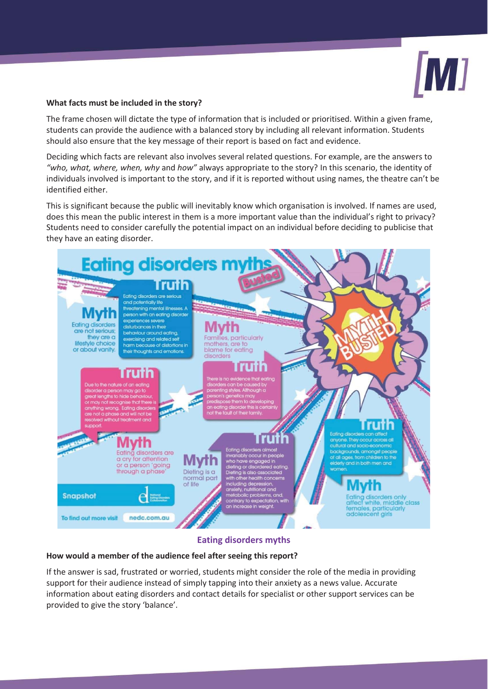

#### **What facts must be included in the story?**

The frame chosen will dictate the type of information that is included or prioritised. Within a given frame, students can provide the audience with a balanced story by including all relevant information. Students should also ensure that the key message of their report is based on fact and evidence.

Deciding which facts are relevant also involves several related questions. For example, are the answers to *"who, what, where, when, why* and *how"* always appropriate to the story? In this scenario, the identity of individuals involved is important to the story, and if it is reported without using names, the theatre can't be identified either.

This is significant because the public will inevitably know which organisation is involved. If names are used, does this mean the public interest in them is a more important value than the individual's right to privacy? Students need to consider carefully the potential impact on an individual before deciding to publicise that they have an eating disorder.



## **Eating disorders myths**

#### **How would a member of the audience feel after seeing this report?**

If the answer is sad, frustrated or worried, students might consider the role of the media in providing support for their audience instead of simply tapping into their anxiety as a news value. Accurate information about eating disorders and contact details for specialist or other support services can be provided to give the story 'balance'.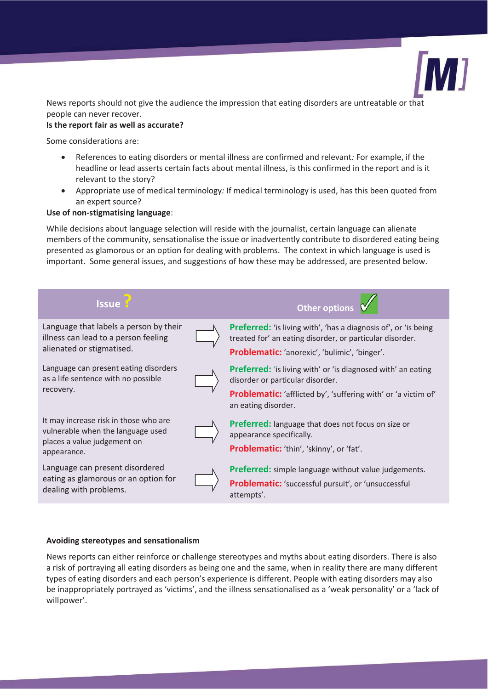

News reports should not give the audience the impression that eating disorders are untreatable or that people can never recover.

## **Is the report fair as well as accurate?**

Some considerations are:

- x References to eating disorders or mental illness are confirmed and relevant*:* For example, if the headline or lead asserts certain facts about mental illness, is this confirmed in the report and is it relevant to the story?
- x Appropriate use of medical terminology*:* If medical terminology is used, has this been quoted from an expert source?

#### **Use of non-stigmatising language**:

While decisions about language selection will reside with the journalist, certain language can alienate members of the community, sensationalise the issue or inadvertently contribute to disordered eating being presented as glamorous or an option for dealing with problems. The context in which language is used is important. Some general issues, and suggestions of how these may be addressed, are presented below.



#### **Avoiding stereotypes and sensationalism**

News reports can either reinforce or challenge stereotypes and myths about eating disorders. There is also a risk of portraying all eating disorders as being one and the same, when in reality there are many different types of eating disorders and each person's experience is different. People with eating disorders may also be inappropriately portrayed as 'victims', and the illness sensationalised as a 'weak personality' or a 'lack of willpower'.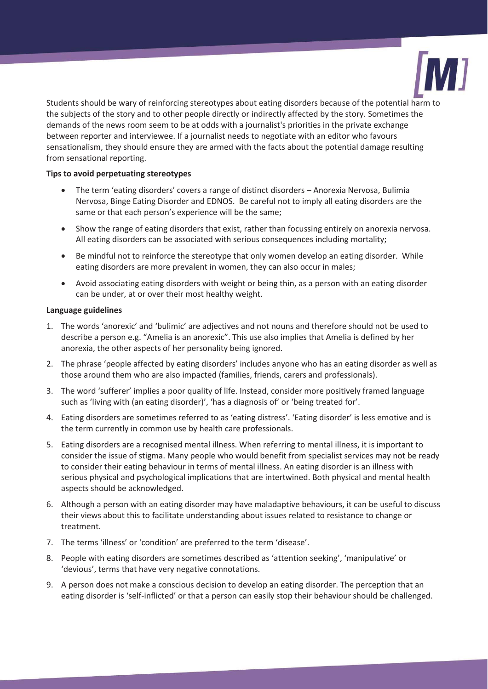

Students should be wary of reinforcing stereotypes about eating disorders because of the potential harm to the subjects of the story and to other people directly or indirectly affected by the story. Sometimes the demands of the news room seem to be at odds with a journalist's priorities in the private exchange between reporter and interviewee. If a journalist needs to negotiate with an editor who favours sensationalism, they should ensure they are armed with the facts about the potential damage resulting from sensational reporting.

#### **Tips to avoid perpetuating stereotypes**

- The term 'eating disorders' covers a range of distinct disorders Anorexia Nervosa, Bulimia Nervosa, Binge Eating Disorder and EDNOS. Be careful not to imply all eating disorders are the same or that each person's experience will be the same;
- Show the range of eating disorders that exist, rather than focussing entirely on anorexia nervosa. All eating disorders can be associated with serious consequences including mortality;
- Be mindful not to reinforce the stereotype that only women develop an eating disorder. While eating disorders are more prevalent in women, they can also occur in males;
- Avoid associating eating disorders with weight or being thin, as a person with an eating disorder can be under, at or over their most healthy weight.

#### **Language guidelines**

- 1. The words 'anorexic' and 'bulimic' are adjectives and not nouns and therefore should not be used to describe a person e.g. "Amelia is an anorexic". This use also implies that Amelia is defined by her anorexia, the other aspects of her personality being ignored.
- 2. The phrase 'people affected by eating disorders' includes anyone who has an eating disorder as well as those around them who are also impacted (families, friends, carers and professionals).
- 3. The word 'sufferer' implies a poor quality of life. Instead, consider more positively framed language such as 'living with (an eating disorder)', 'has a diagnosis of' or 'being treated for'.
- 4. Eating disorders are sometimes referred to as 'eating distress'. 'Eating disorder' is less emotive and is the term currently in common use by health care professionals.
- 5. Eating disorders are a recognised mental illness. When referring to mental illness, it is important to consider the issue of stigma. Many people who would benefit from specialist services may not be ready to consider their eating behaviour in terms of mental illness. An eating disorder is an illness with serious physical and psychological implications that are intertwined. Both physical and mental health aspects should be acknowledged.
- 6. Although a person with an eating disorder may have maladaptive behaviours, it can be useful to discuss their views about this to facilitate understanding about issues related to resistance to change or treatment.
- 7. The terms 'illness' or 'condition' are preferred to the term 'disease'.
- 8. People with eating disorders are sometimes described as 'attention seeking', 'manipulative' or 'devious', terms that have very negative connotations.
- 9. A person does not make a conscious decision to develop an eating disorder. The perception that an eating disorder is 'self-inflicted' or that a person can easily stop their behaviour should be challenged.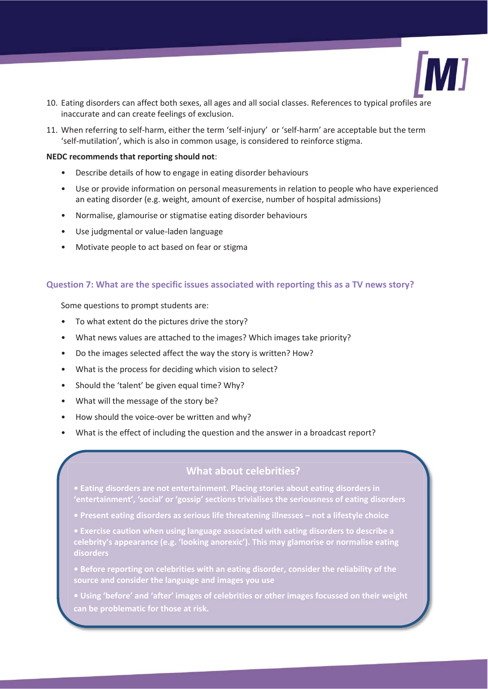

- 10. Eating disorders can affect both sexes, all ages and all social classes. References to typical profiles are inaccurate and can create feelings of exclusion.
- 11. When referring to self-harm, either the term 'self-injury' or 'self-harm' are acceptable but the term 'self-mutilation', which is also in common usage, is considered to reinforce stigma.

#### **NEDC recommends that reporting should not**:

- Describe details of how to engage in eating disorder behaviours
- Use or provide information on personal measurements in relation to people who have experienced an eating disorder (e.g. weight, amount of exercise, number of hospital admissions)
- Normalise, glamourise or stigmatise eating disorder behaviours
- Use judgmental or value-laden language
- Motivate people to act based on fear or stigma

#### **Question 7: What are the specific issues associated with reporting this as a TV news story?**

Some questions to prompt students are:

- To what extent do the pictures drive the story?
- What news values are attached to the images? Which images take priority?
- Do the images selected affect the way the story is written? How?
- What is the process for deciding which vision to select?
- Should the 'talent' be given equal time? Why?
- What will the message of the story be?
- How should the voice-over be written and why?
- What is the effect of including the question and the answer in a broadcast report?

## **What about celebrities?**

- **Eating disorders are not entertainment. Placing stories about eating disorders in 'entertainment', 'social' or 'gossip' sections trivialises the seriousness of eating disorders**
- **Present eating disorders as serious life threatening illnesses not a lifestyle choice**
- **Exercise caution when using language associated with eating disorders to describe a celebrity's appearance (e.g. 'looking anorexic'). This may glamorise or normalise eating**
- **Before reporting on celebrities with an eating disorder, consider the reliability of the source and consider the language and images you use**
- **Using 'before' and 'after' images of celebrities or other images focussed on their weight can be problematic for those at risk.**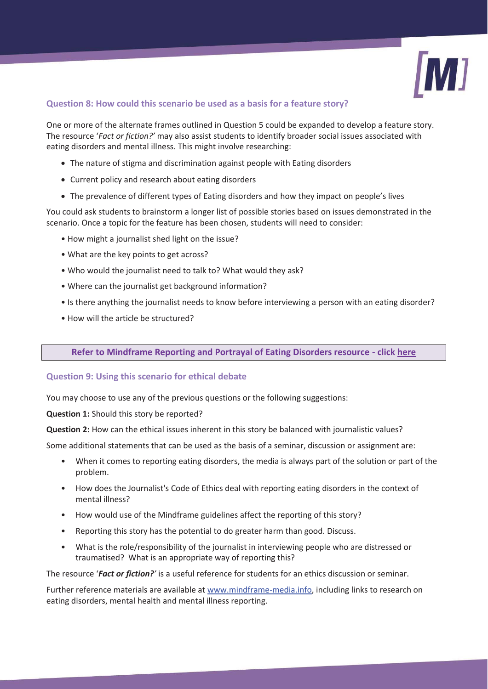

## **Question 8: How could this scenario be used as a basis for a feature story?**

One or more of the alternate frames outlined in Question 5 could be expanded to develop a feature story. The resource '*Fact or fiction?'* may also assist students to identify broader social issues associated with eating disorders and mental illness. This might involve researching:

- The nature of stigma and discrimination against people with Eating disorders
- Current policy and research about eating disorders
- The prevalence of different types of Eating disorders and how they impact on people's lives

You could ask students to brainstorm a longer list of possible stories based on issues demonstrated in the scenario. Once a topic for the feature has been chosen, students will need to consider:

- How might a journalist shed light on the issue?
- What are the key points to get across?
- Who would the journalist need to talk to? What would they ask?
- Where can the journalist get background information?
- Is there anything the journalist needs to know before interviewing a person with an eating disorder?
- How will the article be structured?

#### **Refer to Mindframe Reporting and Portrayal of Eating Disorders resource - click here**

#### **Question 9: Using this scenario for ethical debate**

You may choose to use any of the previous questions or the following suggestions:

**Question 1:** Should this story be reported?

**Question 2:** How can the ethical issues inherent in this story be balanced with journalistic values?

Some additional statements that can be used as the basis of a seminar, discussion or assignment are:

- When it comes to reporting eating disorders, the media is always part of the solution or part of the problem.
- How does the Journalist's Code of Ethics deal with reporting eating disorders in the context of mental illness?
- How would use of the Mindframe guidelines affect the reporting of this story?
- Reporting this story has the potential to do greater harm than good. Discuss.
- What is the role/responsibility of the journalist in interviewing people who are distressed or traumatised? What is an appropriate way of reporting this?

The resource '*Fact or fiction?'* is a useful reference for students for an ethics discussion or seminar.

Further reference materials are available at www.mindframe-media.info, including links to research on eating disorders, mental health and mental illness reporting.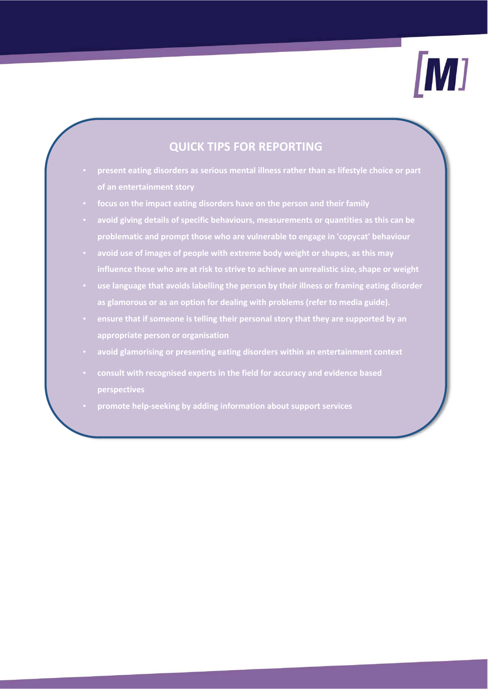

## **QUICK TIPS FOR REPORTING**

- **present eating disorders as serious mental illness rather than as lifestyle choice or part of an entertainment story**
- **focus on the impact eating disorders have on the person and their family**
- **avoid giving details of specific behaviours, measurements or quantities as this can be problematic and prompt those who are vulnerable to engage in 'copycat' behaviour**
- **avoid use of images of people with extreme body weight or shapes, as this may influence those who are at risk to strive to achieve an unrealistic size, shape or weight**
- **use language that avoids labelling the person by their illness or framing eating disorder as glamorous or as an option for dealing with problems (refer to media guide).**
- **ensure that if someone is telling their personal story that they are supported by an appropriate person or organisation**
- **avoid glamorising or presenting eating disorders within an entertainment context**
- **consult with recognised experts in the field for accuracy and evidence based perspectives**
- **promote help-seeking by adding information about support services**